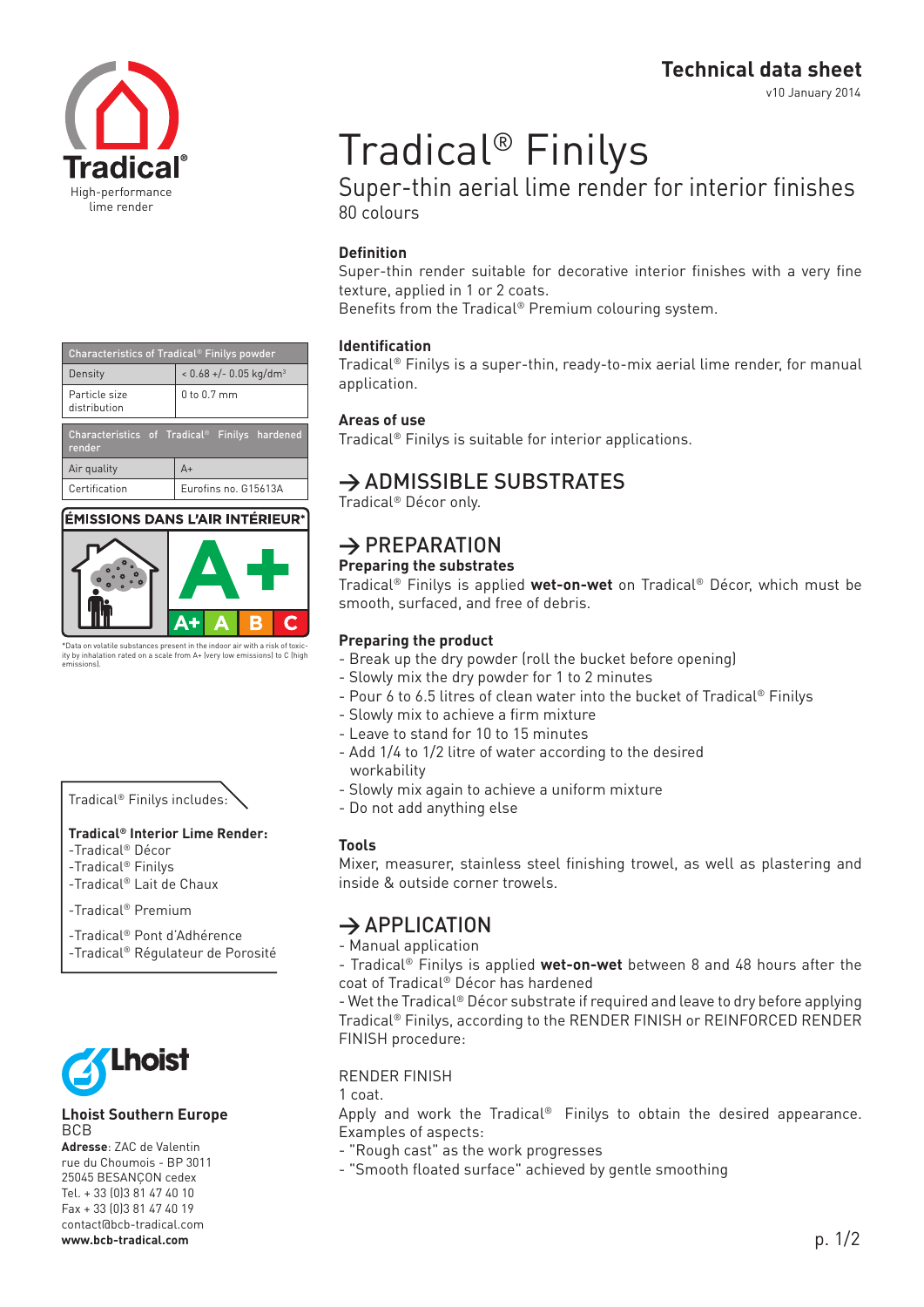**Technical data sheet**

v10 January 2014



| Characteristics of Tradical <sup>®</sup> Finilys powder             |                                      |  |  |  |
|---------------------------------------------------------------------|--------------------------------------|--|--|--|
| Density                                                             | $< 0.68 +/- 0.05$ kg/dm <sup>3</sup> |  |  |  |
| Particle size<br>distribution                                       | 0 to 0.7 mm                          |  |  |  |
| Characteristics of Tradical <sup>®</sup> Finilys hardened<br>render |                                      |  |  |  |
| Air quality                                                         | $A+$                                 |  |  |  |
| Certification                                                       | Eurofins no. G15613A                 |  |  |  |

## ÉMISSIONS DANS L'AIR INTÉRIEUR



\*Data on volatile substances present in the indoor air with a risk of toxic-ity by inhalation rated on a scale from A+ (very low emissions) to C (high emissions).

## Tradical® Finilys includes:

#### **Tradical® Interior Lime Render:**

- -Tradical® Décor
- -Tradical® Finilys
- -Tradical® Lait de Chaux

-Tradical® Premium

-Tradical® Pont d'Adhérence -Tradical® Régulateur de Porosité



#### **Lhoist Southern Europe BCB**

**Adresse**: ZAC de Valentin rue du Choumois - BP 3011 25045 BESANçON cedex Tel. + 33 (0)3 81 47 40 10 Fax + 33 (0)3 81 47 40 19 contact@bcb-tradical.com **www.bcb-tradical.com**

# Tradical® Finilys

Super-thin aerial lime render for interior finishes 80 colours

## **Definition**

Super-thin render suitable for decorative interior finishes with a very fine texture, applied in 1 or 2 coats.

Benefits from the Tradical® Premium colouring system.

## **Identification**

Tradical® Finilys is a super-thin, ready-to-mix aerial lime render, for manual application.

## **Areas of use**

Tradical® Finilys is suitable for interior applications.

## **→** ADMISSIBLE SUBSTRATES

Tradical® Décor only.

# **→** PREPARATION

## **Preparing the substrates**

Tradical® Finilys is applied **wet-on-wet** on Tradical® Décor, which must be smooth, surfaced, and free of debris.

## **Preparing the product**

- Break up the dry powder (roll the bucket before opening)
- Slowly mix the dry powder for 1 to 2 minutes
- Pour 6 to 6.5 litres of clean water into the bucket of Tradical® Finilys
- Slowly mix to achieve a firm mixture
- Leave to stand for 10 to 15 minutes
- Add 1/4 to 1/2 litre of water according to the desired workability
- Slowly mix again to achieve a uniform mixture
- Do not add anything else

## **Tools**

Mixer, measurer, stainless steel finishing trowel, as well as plastering and inside & outside corner trowels.

## **→** APPLICATION

- Manual application

- Tradical® Finilys is applied **wet-on-wet** between 8 and 48 hours after the coat of Tradical® Décor has hardened

- Wet the Tradical® Décor substrate if required and leave to dry before applying Tradical® Finilys, according to the RENDER FINISH or REINFORCED RENDER FINISH procedure:

## RENDER FINISH

1 coat.

Apply and work the Tradical® Finilys to obtain the desired appearance. Examples of aspects:

- "Rough cast" as the work progresses
- "Smooth floated surface" achieved by gentle smoothing